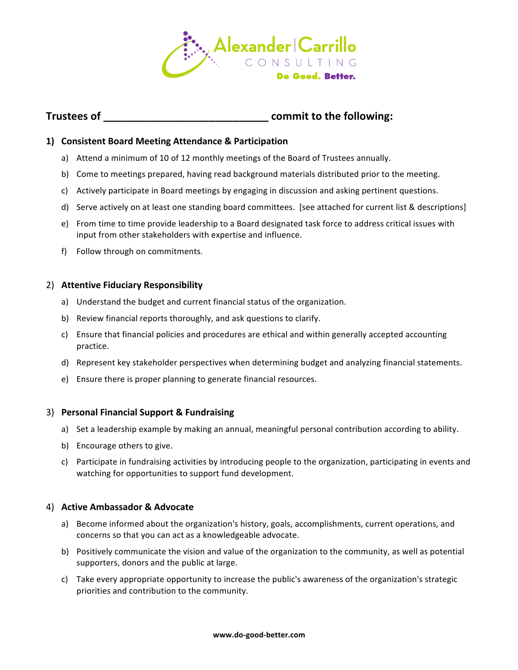

# **Trustees of** <br> **Commit to the following:**

## **1) Consistent Board Meeting Attendance & Participation**

- a) Attend a minimum of 10 of 12 monthly meetings of the Board of Trustees annually.
- b) Come to meetings prepared, having read background materials distributed prior to the meeting.
- c) Actively participate in Board meetings by engaging in discussion and asking pertinent questions.
- d) Serve actively on at least one standing board committees. [see attached for current list & descriptions]
- e) From time to time provide leadership to a Board designated task force to address critical issues with input from other stakeholders with expertise and influence.
- f) Follow through on commitments.

#### 2) **Attentive Fiduciary Responsibility**

- a) Understand the budget and current financial status of the organization.
- b) Review financial reports thoroughly, and ask questions to clarify.
- c) Ensure that financial policies and procedures are ethical and within generally accepted accounting practice.
- d) Represent key stakeholder perspectives when determining budget and analyzing financial statements.
- e) Ensure there is proper planning to generate financial resources.

### 3) **Personal Financial Support & Fundraising**

- a) Set a leadership example by making an annual, meaningful personal contribution according to ability.
- b) Encourage others to give.
- c) Participate in fundraising activities by introducing people to the organization, participating in events and watching for opportunities to support fund development.

### 4) **Active Ambassador & Advocate**

- a) Become informed about the organization's history, goals, accomplishments, current operations, and concerns so that you can act as a knowledgeable advocate.
- b) Positively communicate the vision and value of the organization to the community, as well as potential supporters, donors and the public at large.
- c) Take every appropriate opportunity to increase the public's awareness of the organization's strategic priorities and contribution to the community.